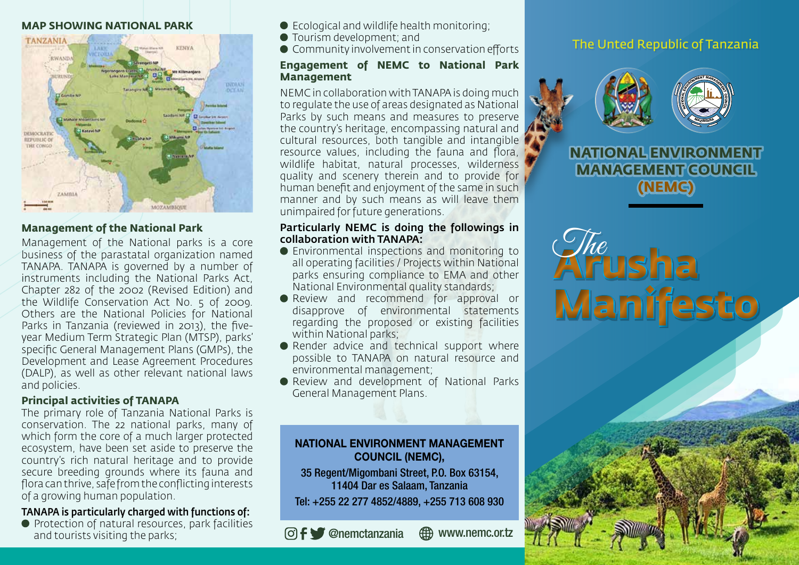#### **MAP SHOWING NATIONAL PARK**



### **Management of the National Park**

Management of the National parks is a core business of the parastatal organization named TANAPA. TANAPA is governed by a number of instruments including the National Parks Act, Chapter 282 of the 2002 (Revised Edition) and the Wildlife Conservation Act No. 5 of 2009. Others are the National Policies for National Parks in Tanzania (reviewed in 2013), the fiveyear Medium Term Strategic Plan (MTSP), parks' specific General Management Plans (GMPs), the Development and Lease Agreement Procedures (DALP), as well as other relevant national laws and policies.

## **Principal activities of TANAPA**

The primary role of Tanzania National Parks is conservation. The 22 national parks, many of which form the core of a much larger protected ecosystem, have been set aside to preserve the country's rich natural heritage and to provide secure breeding grounds where its fauna and flora can thrive, safe from the conflicting interests of a growing human population.

## TANAPA is particularly charged with functions of:

**• Protection of natural resources, park facilities** and tourists visiting the parks;

- Ecological and wildlife health monitoring;
- Tourism development; and
- Community involvement in conservation efforts

### **Engagement of NEMC to National Park Management**

NEMC in collaboration with TANAPA is doing much to regulate the use of areas designated as National Parks by such means and measures to preserve the country's heritage, encompassing natural and cultural resources, both tangible and intangible resource values, including the fauna and flora, wildlife habitat, natural processes, wilderness quality and scenery therein and to provide for human benefit and enjoyment of the same in such manner and by such means as will leave them unimpaired for future generations.

### Particularly NEMC is doing the followings in collaboration with TANAPA:

- Environmental inspections and monitoring to all operating facilities / Projects within National parks ensuring compliance to EMA and other National Environmental quality standards;
- **Review and recommend for approval or** disapprove of environmental statements regarding the proposed or existing facilities within National parks;
- Render advice and technical support where possible to TANAPA on natural resource and environmental management;
- Review and development of National Parks General Management Plans.

## NATIONAL ENVIRONMENT MANAGEMENT COUNCIL (NEMC),

35 Regent/Migombani Street, P.O. Box 63154, 11404 Dar es Salaam, Tanzania Tel: +255 22 277 4852/4889, +255 713 608 930

@nemctanzania www.nemc.or.tz

# The Unted Republic of Tanzania



**NATIONAL ENVIRONMENT MANAGEMENT COUNCIL (NEMC)**

**Arusha Manifesto** The